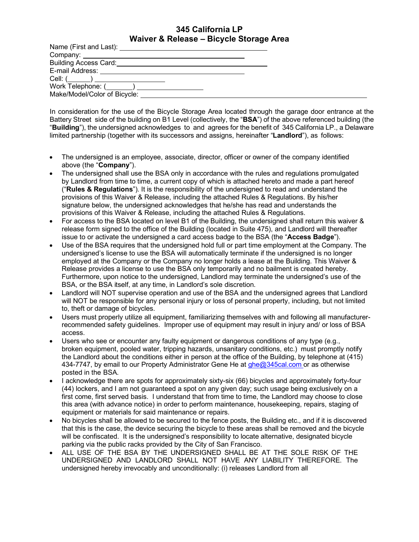## **345 California LP Waiver & Release – Bicycle Storage Area**

| <b>Building Access Card:</b>     |  |
|----------------------------------|--|
| E-mail Address:                  |  |
| Cell: (______) _________________ |  |
| Work Telephone: ( )              |  |
| Make/Model/Color of Bicycle:     |  |

In consideration for the use of the Bicycle Storage Area located through the garage door entrance at the Battery Street side of the building on B1 Level (collectively, the "**BSA**") of the above referenced building (the "**Building**"), the undersigned acknowledges to and agrees for the benefit of 345 California LP., a Delaware limited partnership (together with its successors and assigns, hereinafter "**Landlord**"), as follows:

- The undersigned is an employee, associate, director, officer or owner of the company identified above (the "**Company**").
- The undersigned shall use the BSA only in accordance with the rules and regulations promulgated by Landlord from time to time, a current copy of which is attached hereto and made a part hereof ("**Rules & Regulations**"). It is the responsibility of the undersigned to read and understand the provisions of this Waiver & Release, including the attached Rules & Regulations. By his/her signature below, the undersigned acknowledges that he/she has read and understands the provisions of this Waiver & Release, including the attached Rules & Regulations.
- For access to the BSA located on level B1 of the Building, the undersigned shall return this waiver & release form signed to the office of the Building (located in Suite 475), and Landlord will thereafter issue to or activate the undersigned a card access badge to the BSA (the "**Access Badge**").
- Use of the BSA requires that the undersigned hold full or part time employment at the Company. The undersigned's license to use the BSA will automatically terminate if the undersigned is no longer employed at the Company or the Company no longer holds a lease at the Building. This Waiver & Release provides a license to use the BSA only temporarily and no bailment is created hereby. Furthermore, upon notice to the undersigned, Landlord may terminate the undersigned's use of the BSA, or the BSA itself, at any time, in Landlord's sole discretion.
- Landlord will NOT supervise operation and use of the BSA and the undersigned agrees that Landlord will NOT be responsible for any personal injury or loss of personal property, including, but not limited to, theft or damage of bicycles.
- Users must properly utilize all equipment, familiarizing themselves with and following all manufacturerrecommended safety guidelines. Improper use of equipment may result in injury and/ or loss of BSA access.
- Users who see or encounter any faulty equipment or dangerous conditions of any type (e.g., broken equipment, pooled water, tripping hazards, unsanitary conditions, etc.) must promptly notify the Landlord about the conditions either in person at the office of the Building, by telephone at (415) 434-7747, by email to our Property Administrator Gene He at ghe@345cal.com or as otherwise posted in the BSA.
- I acknowledge there are spots for approximately sixty-six (66) bicycles and approximately forty-four (44) lockers, and I am not guaranteed a spot on any given day; such usage being exclusively on a first come, first served basis. I understand that from time to time, the Landlord may choose to close this area (with advance notice) in order to perform maintenance, housekeeping, repairs, staging of equipment or materials for said maintenance or repairs.
- No bicycles shall be allowed to be secured to the fence posts, the Building etc., and if it is discovered that this is the case, the device securing the bicycle to these areas shall be removed and the bicycle will be confiscated. It is the undersigned's responsibility to locate alternative, designated bicycle parking via the public racks provided by the City of San Francisco.
- ALL USE OF THE BSA BY THE UNDERSIGNED SHALL BE AT THE SOLE RISK OF THE UNDERSIGNED AND LANDLORD SHALL NOT HAVE ANY LIABILITY THEREFORE. The undersigned hereby irrevocably and unconditionally: (i) releases Landlord from all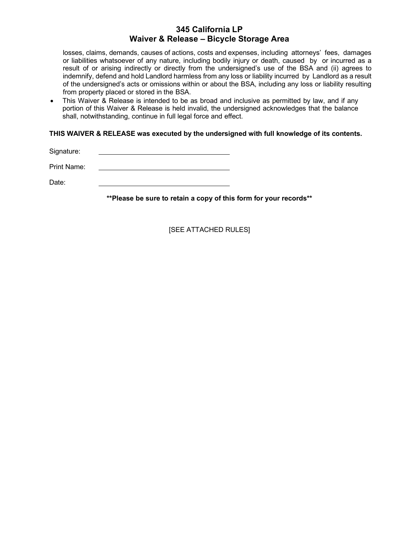## **345 California LP Waiver & Release – Bicycle Storage Area**

losses, claims, demands, causes of actions, costs and expenses, including attorneys' fees, damages or liabilities whatsoever of any nature, including bodily injury or death, caused by or incurred as a result of or arising indirectly or directly from the undersigned's use of the BSA and (ii) agrees to indemnify, defend and hold Landlord harmless from any loss or liability incurred by Landlord as a result of the undersigned's acts or omissions within or about the BSA, including any loss or liability resulting from property placed or stored in the BSA.

• This Waiver & Release is intended to be as broad and inclusive as permitted by law, and if any portion of this Waiver & Release is held invalid, the undersigned acknowledges that the balance shall, notwithstanding, continue in full legal force and effect.

**THIS WAIVER & RELEASE was executed by the undersigned with full knowledge of its contents.**

Signature:

Print Name:

Date:

**\*\*Please be sure to retain a copy of this form for your records\*\***

[SEE ATTACHED RULES]